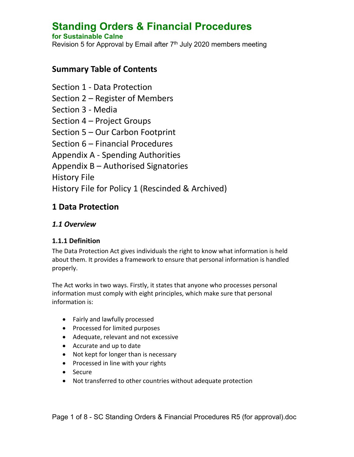# **Standing Orders & Financial Procedures**

#### **for Sustainable Calne**

Revision 5 for Approval by Email after 7<sup>th</sup> July 2020 members meeting

## **Summary Table of Contents**

Section 1 - Data Protection Section 2 – Register of Members Section 3 - Media Section 4 – Project Groups Section 5 – Our Carbon Footprint Section 6 – Financial Procedures Appendix A - Spending Authorities Appendix B – Authorised Signatories History File History File for Policy 1 (Rescinded & Archived)

# **1 Data Protection**

#### *1.1 Overview*

#### **1.1.1 Definition**

The Data Protection Act gives individuals the right to know what information is held about them. It provides a framework to ensure that personal information is handled properly.

The Act works in two ways. Firstly, it states that anyone who processes personal information must comply with eight principles, which make sure that personal information is:

- Fairly and lawfully processed
- Processed for limited purposes
- Adequate, relevant and not excessive
- Accurate and up to date
- Not kept for longer than is necessary
- Processed in line with your rights
- Secure
- Not transferred to other countries without adequate protection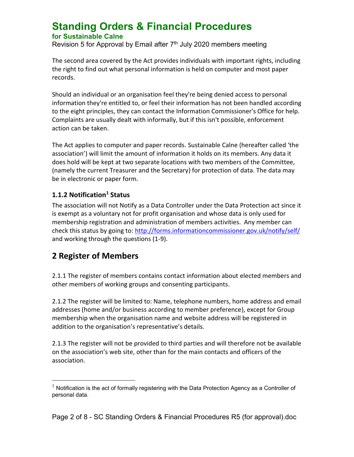Revision 5 for Approval by Email after 7<sup>th</sup> July 2020 members meeting

The second area covered by the Act provides individuals with important rights, including the right to find out what personal information is held on computer and most paper records.

Should an individual or an organisation feel they're being denied access to personal information they're entitled to, or feel their information has not been handled according to the eight principles, they can contact the Information Commissioner's Office for help. Complaints are usually dealt with informally, but if this isn't possible, enforcement action can be taken.

The Act applies to computer and paper records. Sustainable Calne (hereafter called 'the association') will limit the amount of information it holds on its members. Any data it does hold will be kept at two separate locations with two members of the Committee, (namely the current Treasurer and the Secretary) for protection of data. The data may be in electronic or paper form.

#### **1.1.2 Notification<sup>1</sup> Status**

The association will not Notify as a Data Controller under the Data Protection act since it is exempt as a voluntary not for profit organisation and whose data is only used for membership registration and administration of members activities. Any member can check this status by going to:<http://forms.informationcommissioner.gov.uk/notify/self/> and working through the questions (1-9).

# **2 Register of Members**

 $\overline{a}$ 

2.1.1 The register of members contains contact information about elected members and other members of working groups and consenting participants.

2.1.2 The register will be limited to: Name, telephone numbers, home address and email addresses (home and/or business according to member preference), except for Group membership when the organisation name and website address will be registered in addition to the organisation's representative's details.

2.1.3 The register will not be provided to third parties and will therefore not be available on the association's web site, other than for the main contacts and officers of the association.

Page 2 of 8 - SC Standing Orders & Financial Procedures R5 (for approval).doc

 $1$  Notification is the act of formally registering with the Data Protection Agency as a Controller of personal data.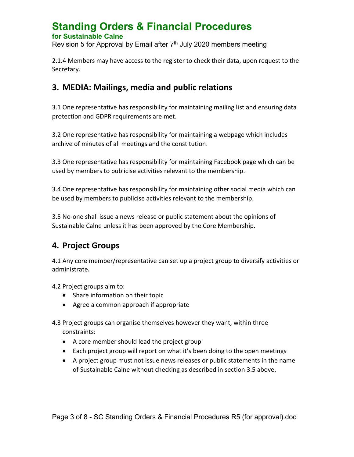Revision 5 for Approval by Email after 7<sup>th</sup> July 2020 members meeting

2.1.4 Members may have access to the register to check their data, upon request to the Secretary.

# **3. MEDIA: Mailings, media and public relations**

3.1 One representative has responsibility for maintaining mailing list and ensuring data protection and GDPR requirements are met.

3.2 One representative has responsibility for maintaining a webpage which includes archive of minutes of all meetings and the constitution.

3.3 One representative has responsibility for maintaining Facebook page which can be used by members to publicise activities relevant to the membership.

3.4 One representative has responsibility for maintaining other social media which can be used by members to publicise activities relevant to the membership.

3.5 No-one shall issue a news release or public statement about the opinions of Sustainable Calne unless it has been approved by the Core Membership.

# **4. Project Groups**

4.1 Any core member/representative can set up a project group to diversify activities or administrate**.**

4.2 Project groups aim to:

- Share information on their topic
- Agree a common approach if appropriate

4.3 Project groups can organise themselves however they want, within three constraints:

- A core member should lead the project group
- Each project group will report on what it's been doing to the open meetings
- A project group must not issue news releases or public statements in the name of Sustainable Calne without checking as described in section 3.5 above.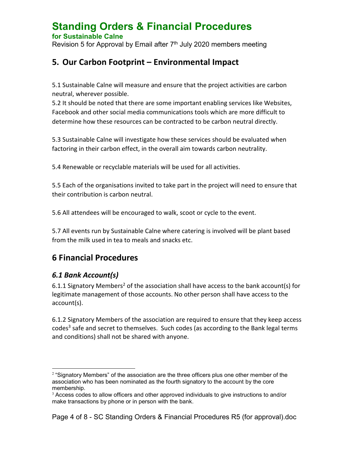# **Standing Orders & Financial Procedures**

#### **for Sustainable Calne**

Revision 5 for Approval by Email after 7<sup>th</sup> July 2020 members meeting

# **5. Our Carbon Footprint – Environmental Impact**

5.1 Sustainable Calne will measure and ensure that the project activities are carbon neutral, wherever possible.

5.2 It should be noted that there are some important enabling services like Websites, Facebook and other social media communications tools which are more difficult to determine how these resources can be contracted to be carbon neutral directly.

5.3 Sustainable Calne will investigate how these services should be evaluated when factoring in their carbon effect, in the overall aim towards carbon neutrality.

5.4 Renewable or recyclable materials will be used for all activities.

5.5 Each of the organisations invited to take part in the project will need to ensure that their contribution is carbon neutral.

5.6 All attendees will be encouraged to walk, scoot or cycle to the event.

5.7 All events run by Sustainable Calne where catering is involved will be plant based from the milk used in tea to meals and snacks etc.

# **6 Financial Procedures**

#### *6.1 Bank Account(s)*

6.1.1 Signatory Members<sup>2</sup> of the association shall have access to the bank account(s) for legitimate management of those accounts. No other person shall have access to the account(s).

6.1.2 Signatory Members of the association are required to ensure that they keep access codes<sup>3</sup> safe and secret to themselves. Such codes (as according to the Bank legal terms and conditions) shall not be shared with anyone.

 $\overline{a}$  $2$  "Signatory Members" of the association are the three officers plus one other member of the association who has been nominated as the fourth signatory to the account by the core membership.

<sup>&</sup>lt;sup>3</sup> Access codes to allow officers and other approved individuals to give instructions to and/or make transactions by phone or in person with the bank.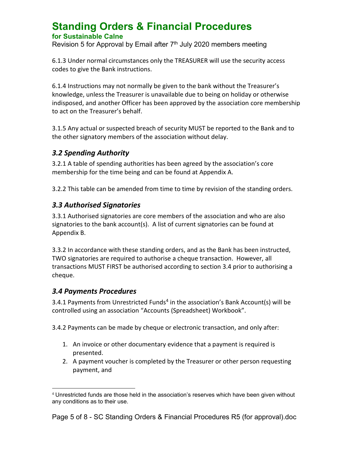Revision 5 for Approval by Email after 7<sup>th</sup> July 2020 members meeting

6.1.3 Under normal circumstances only the TREASURER will use the security access codes to give the Bank instructions.

6.1.4 Instructions may not normally be given to the bank without the Treasurer's knowledge, unless the Treasurer is unavailable due to being on holiday or otherwise indisposed, and another Officer has been approved by the association core membership to act on the Treasurer's behalf.

3.1.5 Any actual or suspected breach of security MUST be reported to the Bank and to the other signatory members of the association without delay.

#### *3.2 Spending Authority*

3.2.1 A table of spending authorities has been agreed by the association's core membership for the time being and can be found at Appendix A.

3.2.2 This table can be amended from time to time by revision of the standing orders.

#### *3.3 Authorised Signatories*

3.3.1 Authorised signatories are core members of the association and who are also signatories to the bank account(s). A list of current signatories can be found at Appendix B.

3.3.2 In accordance with these standing orders, and as the Bank has been instructed, TWO signatories are required to authorise a cheque transaction. However, all transactions MUST FIRST be authorised according to section 3.4 prior to authorising a cheque.

#### *3.4 Payments Procedures*

3.4.1 Payments from Unrestricted Funds<sup>4</sup> in the association's Bank Account(s) will be controlled using an association "Accounts (Spreadsheet) Workbook".

3.4.2 Payments can be made by cheque or electronic transaction, and only after:

- 1. An invoice or other documentary evidence that a payment is required is presented.
- 2. A payment voucher is completed by the Treasurer or other person requesting payment, and

Page 5 of 8 - SC Standing Orders & Financial Procedures R5 (for approval).doc

 $\overline{a}$  $4$  Unrestricted funds are those held in the association's reserves which have been given without any conditions as to their use.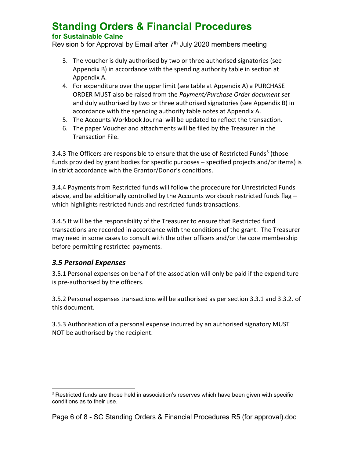Revision 5 for Approval by Email after 7<sup>th</sup> July 2020 members meeting

- 3. The voucher is duly authorised by two or three authorised signatories (see Appendix B) in accordance with the spending authority table in section at Appendix A.
- 4. For expenditure over the upper limit (see table at Appendix A) a PURCHASE ORDER MUST also be raised from the *Payment/Purchase Order document set* and duly authorised by two or three authorised signatories (see Appendix B) in accordance with the spending authority table notes at Appendix A.
- 5. The Accounts Workbook Journal will be updated to reflect the transaction.
- 6. The paper Voucher and attachments will be filed by the Treasurer in the Transaction File.

3.4.3 The Officers are responsible to ensure that the use of Restricted Funds<sup>5</sup> (those funds provided by grant bodies for specific purposes – specified projects and/or items) is in strict accordance with the Grantor/Donor's conditions.

3.4.4 Payments from Restricted funds will follow the procedure for Unrestricted Funds above, and be additionally controlled by the Accounts workbook restricted funds flag – which highlights restricted funds and restricted funds transactions.

3.4.5 It will be the responsibility of the Treasurer to ensure that Restricted fund transactions are recorded in accordance with the conditions of the grant. The Treasurer may need in some cases to consult with the other officers and/or the core membership before permitting restricted payments.

#### *3.5 Personal Expenses*

3.5.1 Personal expenses on behalf of the association will only be paid if the expenditure is pre-authorised by the officers.

3.5.2 Personal expenses transactions will be authorised as per section 3.3.1 and 3.3.2. of this document.

3.5.3 Authorisation of a personal expense incurred by an authorised signatory MUST NOT be authorised by the recipient.

Page 6 of 8 - SC Standing Orders & Financial Procedures R5 (for approval).doc

 $\overline{a}$  $5$  Restricted funds are those held in association's reserves which have been given with specific conditions as to their use.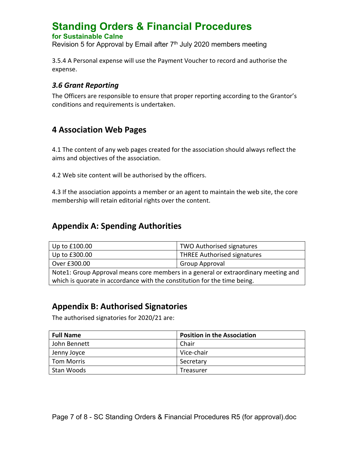Revision 5 for Approval by Email after 7<sup>th</sup> July 2020 members meeting

3.5.4 A Personal expense will use the Payment Voucher to record and authorise the expense.

#### *3.6 Grant Reporting*

The Officers are responsible to ensure that proper reporting according to the Grantor's conditions and requirements is undertaken.

# **4 Association Web Pages**

4.1 The content of any web pages created for the association should always reflect the aims and objectives of the association.

4.2 Web site content will be authorised by the officers.

4.3 If the association appoints a member or an agent to maintain the web site, the core membership will retain editorial rights over the content.

# **Appendix A: Spending Authorities**

| Up to £100.00                                                                      | <b>TWO Authorised signatures</b>   |  |
|------------------------------------------------------------------------------------|------------------------------------|--|
| Up to £300.00                                                                      | <b>THREE Authorised signatures</b> |  |
| Over £300.00                                                                       | Group Approval                     |  |
| Note1: Group Approval means core members in a general or extraordinary meeting and |                                    |  |
| which is quorate in accordance with the constitution for the time being.           |                                    |  |

# **Appendix B: Authorised Signatories**

The authorised signatories for 2020/21 are:

| <b>Full Name</b> | <b>Position in the Association</b> |
|------------------|------------------------------------|
| John Bennett     | Chair                              |
| Jenny Joyce      | Vice-chair                         |
| Tom Morris       | Secretary                          |
| Stan Woods       | Treasurer                          |